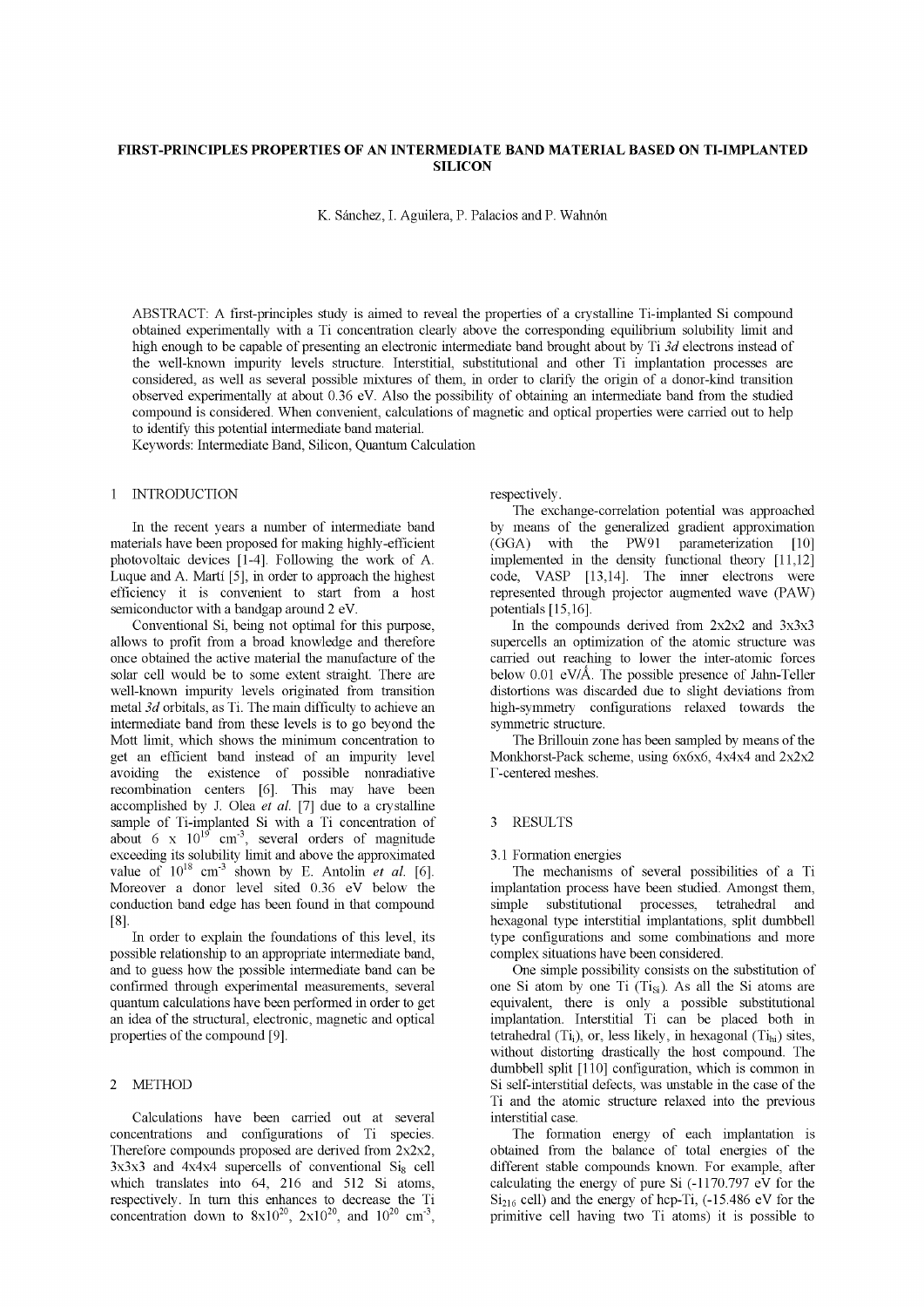# **FIRST-PRINCIPLES PROPERTIES OF AN INTERMEDIATE BAND MATERIAL BASED ON TI-IMPLANTED SILICON**

K. Sánchez, I. Aguilera, P. Palacios and P. Wahnón

ABSTRACT: A first-principles study is aimed to reveal the properties of a crystalline Ti-implanted Si compound obtained experimentally with a Ti concentration clearly above the corresponding equilibrium solubility limit and high enough to be capable of presenting an electronic intermediate band brought about by Ti *3d* electrons instead of the well-known impurity levels structure. Interstitial, substitutional and other Ti implantation processes are considered, as well as several possible mixtures of them, in order to clarify the origin of a donor-kind transition observed experimentally at about 0.36 eV. Also the possibility of obtaining an intermediate band from the studied compound is considered. When convenient, calculations of magnetic and optical properties were carried out to help to identify this potential intermediate band material.

Keywords: Intermediate Band, Silicon, Quantum Calculation

## 1 INTRODUCTION

In the recent years a number of intermediate band materials have been proposed for making highly-efficient photovoltaic devices [1-4]. Following the work of A. Luque and A. Marti [5], in order to approach the highest efficiency it is convenient to start from a host semiconductor with a bandgap around 2 eV.

Conventional Si, being not optimal for this purpose, allows to profit from a broad knowledge and therefore once obtained the active material the manufacture of the solar cell would be to some extent straight. There are well-known impurity levels originated from transition metal *3d* orbitals, as Ti. The main difficulty to achieve an intermediate band from these levels is to go beyond the Mott limit, which shows the minimum concentration to get an efficient band instead of an impurity level avoiding the existence of possible nonradiative recombination centers [6], This may have been accomplished by J. Olea *et al.* [7] due to a crystalline sample of Ti-implanted Si with a Ti concentration of about 6 x  $10^{19}$  cm<sup>-3</sup>, several orders of magnitude exceeding its solubility limit and above the approximated value of  $10^{18}$  cm<sup>-3</sup> shown by E. Antolin *et al.* [6]. Moreover a donor level sited 0.36 eV below the conduction band edge has been found in that compound [8],

In order to explain the foundations of this level, its possible relationship to an appropriate intermediate band, and to guess how the possible intermediate band can be confirmed through experimental measurements, several quantum calculations have been performed in order to get an idea of the structural, electronic, magnetic and optical properties of the compound [9],

# 2 METHOD

Calculations have been carried out at several concentrations and configurations of Ti species. Therefore compounds proposed are derived from 2x2x2,  $3x3x3$  and  $4x4x4$  supercells of conventional  $Si_8$  cell which translates into 64, 216 and 512 Si atoms, respectively. In turn this enhances to decrease the Ti concentration down to  $8x10^{20}$ ,  $2x10^{20}$ , and  $10^{20}$  cm<sup>-3</sup>, respectively.

The exchange-correlation potential was approached by means of the generalized gradient approximation (GGA) with the PW91 parameterization [10] implemented in the density functional theory [11,12] code, VASP [13,14]. The inner electrons were represented through projector augmented wave (PAW) potentials [15,16].

In the compounds derived from  $2x2x2$  and  $3x3x3$ supercells an optimization of the atomic structure was carried out reaching to lower the inter-atomic forces below 0.01 eV/Å. The possible presence of Jahn-Teller distortions was discarded due to slight deviations from high-symmetry configurations relaxed towards the symmetric structure.

The Brillouin zone has been sampled by means of the Monkhorst-Pack scheme, using 6x6x6, 4x4x4 and 2x2x2 T-centered meshes.

### 3 RESULTS

### 3.1 Formation energies

The mechanisms of several possibilities of a Ti implantation process have been studied. Amongst them, simple substitutional processes, tetrahedral and hexagonal type interstitial implantations, split dumbbell type configurations and some combinations and more complex situations have been considered.

One simple possibility consists on the substitution of one Si atom by one Ti  $(Ti_{Si})$ . As all the Si atoms are equivalent, there is only a possible substitutional implantation. Interstitial Ti can be placed both in tetrahedral  $(T_i)$ , or, less likely, in hexagonal  $(T_{i<sub>hi</sub>})$  sites, without distorting drastically the host compound. The dumbbell split [110] configuration, which is common in Si self-interstitial defects, was unstable in the case of the Ti and the atomic structure relaxed into the previous interstitial case.

The formation energy of each implantation is obtained from the balance of total energies of the different stable compounds known. For example, after calculating the energy of pure Si  $(-1170.797 \text{ eV}$  for the  $Si<sub>216</sub>$  cell) and the energy of hcp-Ti, (-15.486 eV for the primitive cell having two Ti atoms) it is possible to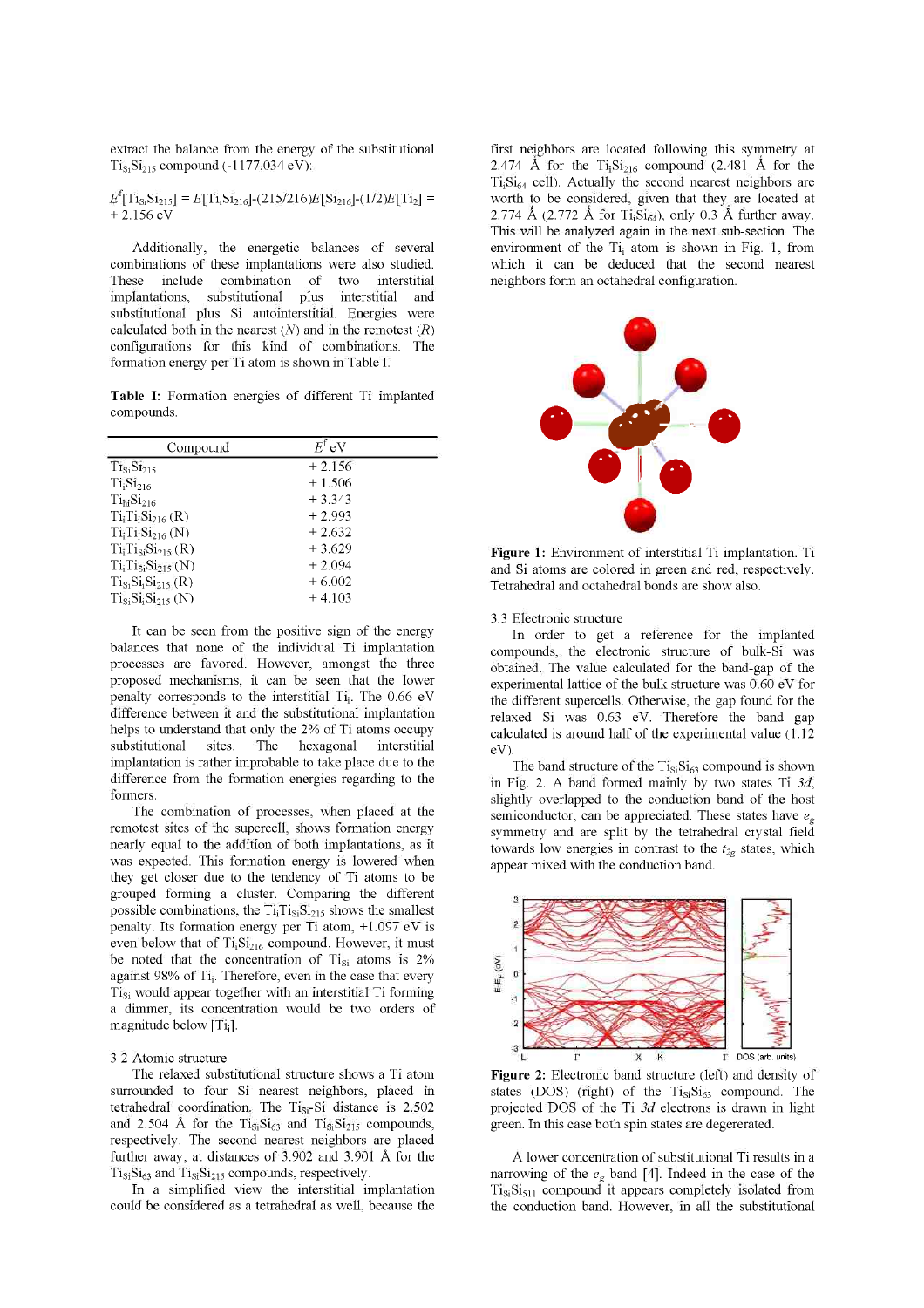extract the balance from the energy of the substitutional  $Ti_{S_1}Si_{215}$  compound (-1177.034 eV):

 $E^{\text{t}}[\text{Ti}_{\text{S1}}\text{Si}_{\text{215}}] = E[\text{Ti}_{1}\text{Si}_{\text{216}}] - (215/216)E[\text{Si}_{\text{216}}] - (1/2)E[\text{Ti}_{2}] =$  $+ 2.156$  eV

Additionally, the energetic balances of several combinations of these implantations were also studied. These include combination of two interstitial implantations, substitutional plus interstitial and substitutional plus Si autointerstitial. Energies were calculated both in the nearest  $(N)$  and in the remotest  $(R)$ configurations for this kind of combinations. The formation energy per Ti atom is shown in Table I.

**Table I:** Formation energies of different Ti implanted compounds.

| Compound                           | $E^{\rm f}$ eV |  |
|------------------------------------|----------------|--|
| $Ti_{Si}Si_{215}$                  | $+2.156$       |  |
| Ti <sub>i</sub> Si <sub>216</sub>  | $+1.506$       |  |
| Ti <sub>hi</sub> Si <sub>216</sub> | $+3.343$       |  |
| $Ti_iTi_iSi_{216}$ (R)             | $+2.993$       |  |
| $Ti_{i}Ti_{i}Si_{216}$ (N)         | $+2.632$       |  |
| $TiiTiSiSi215 (R)$                 | $+3.629$       |  |
| $Ti_1Ti_5Si_{215} (N)$             | $+2.094$       |  |
| $T_{1Si}S_{1i}S_{1215} (R)$        | $+6.002$       |  |
| $Ti_{Si}Si_2Si_{215} (N)$          | $+4.103$       |  |

It can be seen from the positive sign of the energy balances that none of the individual Ti implantation processes are favored. However, amongst the three proposed mechanisms, it can be seen that the lower penalty corresponds to the interstitial Ti; . The 0.66 eV difference between it and the substitutional implantation helps to understand that only the 2% of Ti atoms occupy substitutional sites. The hexagonal interstitial implantation is rather improbable to take place due to the difference from the formation energies regarding to the formers.

The combination of processes, when placed at the remotest sites of the supercell, shows formation energy nearly equal to the addition of both implantations, as it was expected. This formation energy is lowered when they get closer due to the tendency of Ti atoms to be grouped forming a cluster. Comparing the different possible combinations, the  $Ti<sub>i</sub>Ti<sub>Si215</sub>$  shows the smallest penalty. Its formation energy per Ti atom, +1.097 eV is even below that of  $Ti<sub>i</sub>Si<sub>216</sub>$  compound. However, it must be noted that the concentration of Ti<sub>si</sub> atoms is 2% against 98% of Ti; . Therefore, even in the case that every Tisi would appear together with an interstitial Ti forming a dimmer, its concentration would be two orders of magnitude below  $[T_i]$ .

#### 3.2 Atomic structure

The relaxed substitutional structure shows a Ti atom surrounded to four Si nearest neighbors, placed in tetrahedral coordination. The Tisi-Si distance is 2.502 and 2.504 Å for the  $Tis_iSi_{63}$  and  $Tis_iSi_{215}$  compounds, respectively. The second nearest neighbors are placed further away, at distances of 3.902 and 3.901 A for the  $Ti_{Si}Si_{63}$  and  $Ti_{Si}Si_{215}$  compounds, respectively.

In a simplified view the interstitial implantation could be considered as a tetrahedral as well, because the first neighbors are located following this symmetry at 2.474 Å for the  $Ti<sub>1</sub>Si<sub>216</sub>$  compound (2.481 Å for the  $Ti<sub>i</sub>Si<sub>64</sub>$  cell). Actually the second nearest neighbors are worth to be considered, given that they are located at 2.774 Å (2.772 Å for Ti<sub>i</sub>Si<sub>64</sub>), only 0.3 Å further away. This will be analyzed again in the next sub-section. The environment of the  $Ti<sub>i</sub>$  atom is shown in Fig. 1, from which it can be deduced that the second nearest neighbors form an octahedral configuration.



**Figure 1:** Environment of interstitial Ti implantation. Ti and Si atoms are colored in green and red, respectively. Tetrahedral and octahedral bonds are show also.

3.3 Electronic structure

In order to get a reference for the implanted compounds, the electronic structure of bulk-Si was obtained. The value calculated for the band-gap of the experimental lattice of the bulk structure was 0.60 eV for the different supercells. Otherwise, the gap found for the relaxed Si was 0.63 eV. Therefore the band gap calculated is around half of the experimental value (1.12 eV).

The band structure of the  $Ti_{Si}Si_{63}$  compound is shown in Fig. 2. A band formed mainly by two states Ti *3d,*  slightly overlapped to the conduction band of the host semiconductor, can be appreciated. These states have *e<sup>g</sup>* symmetry and are split by the tetrahedral crystal field towards low energies in contrast to the  $t_{2g}$  states, which appear mixed with the conduction band.



**Figure 2:** Electronic band structure (left) and density of states (DOS) (right) of the Ti<sub>Si</sub>Si<sub>63</sub> compound. The projected DOS of the Ti *3d* electrons is drawn in light green. In this case both spin states are degererated.

A lower concentration of substitutional Ti results in a narrowing of the  $e_g$  band [4]. Indeed in the case of the  $Ti_{Si}Si_{511}$  compound it appears completely isolated from the conduction band. However, in all the substitutional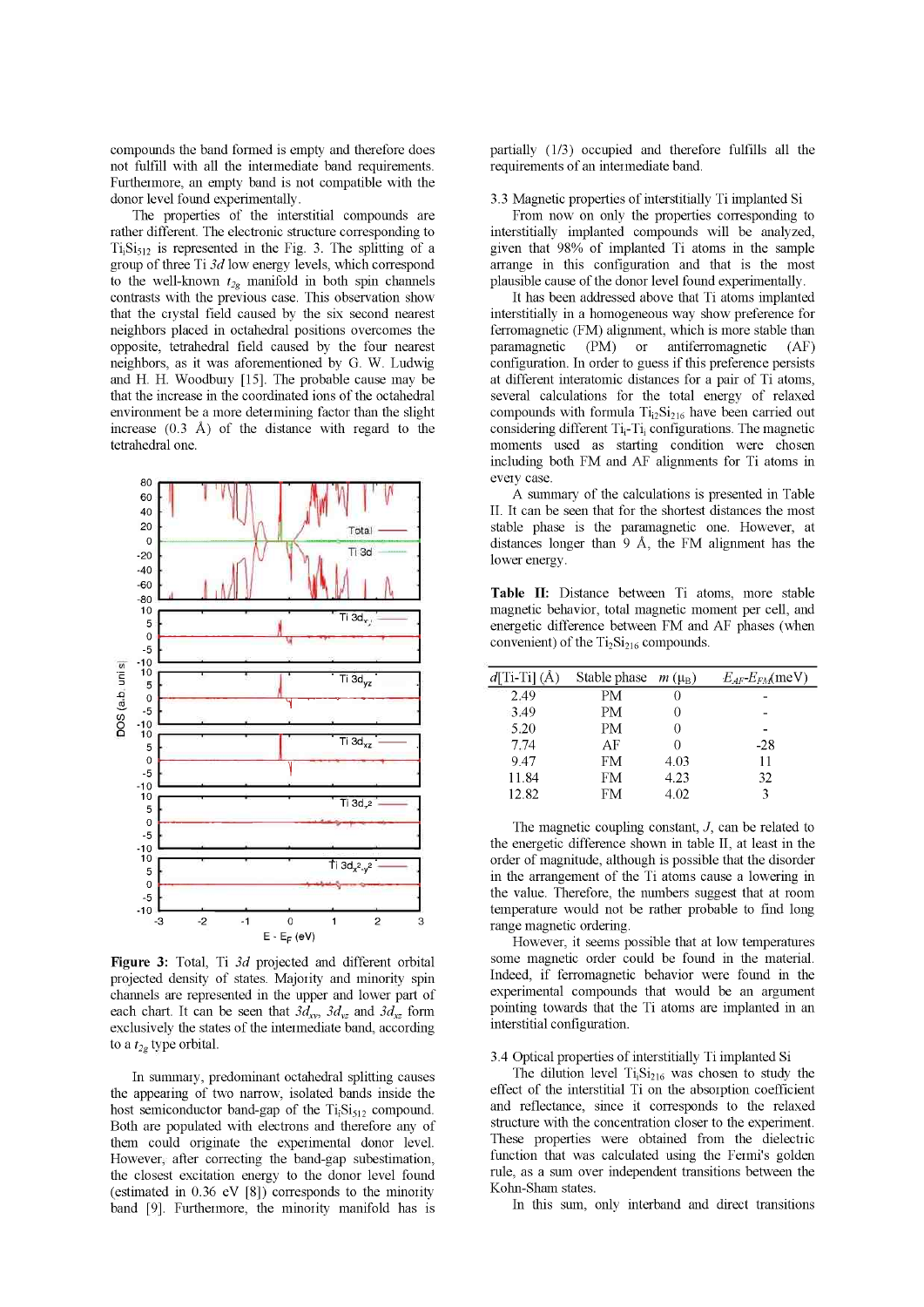compounds the band formed is empty and therefore does not fulfill with all the intermediate band requirements. Furthermore, an empty band is not compatible with the donor level found experimentally.

The properties of the interstitial compounds are rather different. The electronic structure corresponding to  $Ti<sub>i</sub>Si<sub>512</sub>$  is represented in the Fig. 3. The splitting of a group of three Ti *3d* low energy levels, which correspond to the well-known  $t_{2g}$  manifold in both spin channels contrasts with the previous case. This observation show that the crystal field caused by the six second nearest neighbors placed in octahedral positions overcomes the opposite, tetrahedral field caused by the four nearest neighbors, as it was aforementioned by G. W. Ludwig and H. H. Woodbury [15]. The probable cause may be that the increase in the coordinated ions of the octahedral environment be a more determining factor than the slight increase  $(0.3 \text{ Å})$  of the distance with regard to the tetrahedral one.



**Figure 3:** Total, Ti *3d* projected and different orbital projected density of states. Majority and minority spin channels are represented in the upper and lower part of each chart. It can be seen that  $3d_{xy}$ ,  $3d_{yz}$  and  $3d_{xz}$  form exclusively the states of the intermediate band, according to a *t2g* type orbital.

In summary, predominant octahedral splitting causes the appearing of two narrow, isolated bands inside the host semiconductor band-gap of the  $Ti<sub>i</sub>Si<sub>512</sub>$  compound. Both are populated with electrons and therefore any of them could originate the experimental donor level. However, after correcting the band-gap subestimation, the closest excitation energy to the donor level found (estimated in 0.36 eV [8]) corresponds to the minority band [9], Furthermore, the minority manifold has is partially (1/3) occupied and therefore fulfills all the requirements of an intermediate band.

3.3 Magnetic properties of interstitially Ti implanted Si

From now on only the properties corresponding to interstitially implanted compounds will be analyzed, given that 98% of implanted Ti atoms in the sample arrange in this configuration and that is the most plausible cause of the donor level found experimentally.

It has been addressed above that Ti atoms implanted interstitially in a homogeneous way show preference for ferromagnetic (FM) alignment, which is more stable than paramagnetic (PM) or antiferromagnetic (AF) configuration. In order to guess if this preference persists at different interatomic distances for a pair of Ti atoms, several calculations for the total energy of relaxed compounds with formula  $Ti<sub>12</sub>Si<sub>216</sub>$  have been carried out considering different  $Ti_i$ - $Ti_i$  configurations. The magnetic moments used as starting condition were chosen including both FM and AF alignments for Ti atoms in every case.

A summary of the calculations is presented in Table II. It can be seen that for the shortest distances the most stable phase is the paramagnetic one. However, at distances longer than 9 A, the FM alignment has the lower energy.

**Table II:** Distance between Ti atoms, more stable magnetic behavior, total magnetic moment per cell, and energetic difference between FM and AF phases (when convenient) of the  $Ti<sub>2</sub>Si<sub>216</sub>$  compounds.

| $d[T_1-T_1](\mathring{A})$ | Stable phase $m(\mu_R)$ |      | $E_{AF}E_{FA}$ (meV) |
|----------------------------|-------------------------|------|----------------------|
| 2.49                       | PМ                      |      |                      |
| 3.49                       | PM                      |      |                      |
| 5.20                       | PM                      |      |                      |
| 7.74                       | AF                      |      | $-28$                |
| 947                        | <b>FM</b>               | 4.03 | 11                   |
| 11.84                      | FM                      | 4.23 | 32                   |
| 12.82                      | FM                      | 4.02 |                      |

The magnetic coupling constant,  $J$ , can be related to the energetic difference shown in table II, at least in the order of magnitude, although is possible that the disorder in the arrangement of the Ti atoms cause a lowering in the value. Therefore, the numbers suggest that at room temperature would not be rather probable to find long range magnetic ordering.

However, it seems possible that at low temperatures some magnetic order could be found in the material. Indeed, if ferromagnetic behavior were found in the experimental compounds that would be an argument pointing towards that the Ti atoms are implanted in an interstitial configuration.

### 3.4 Optical properties of interstitially Ti implanted Si

The dilution level  $Ti<sub>i</sub>Si<sub>216</sub>$  was chosen to study the effect of the interstitial Ti on the absorption coefficient and reflectance, since it corresponds to the relaxed structure with the concentration closer to the experiment. These properties were obtained from the dielectric function that was calculated using the Fermi's golden rule, as a sum over independent transitions between the Kohn-Sham states.

In this sum, only interband and direct transitions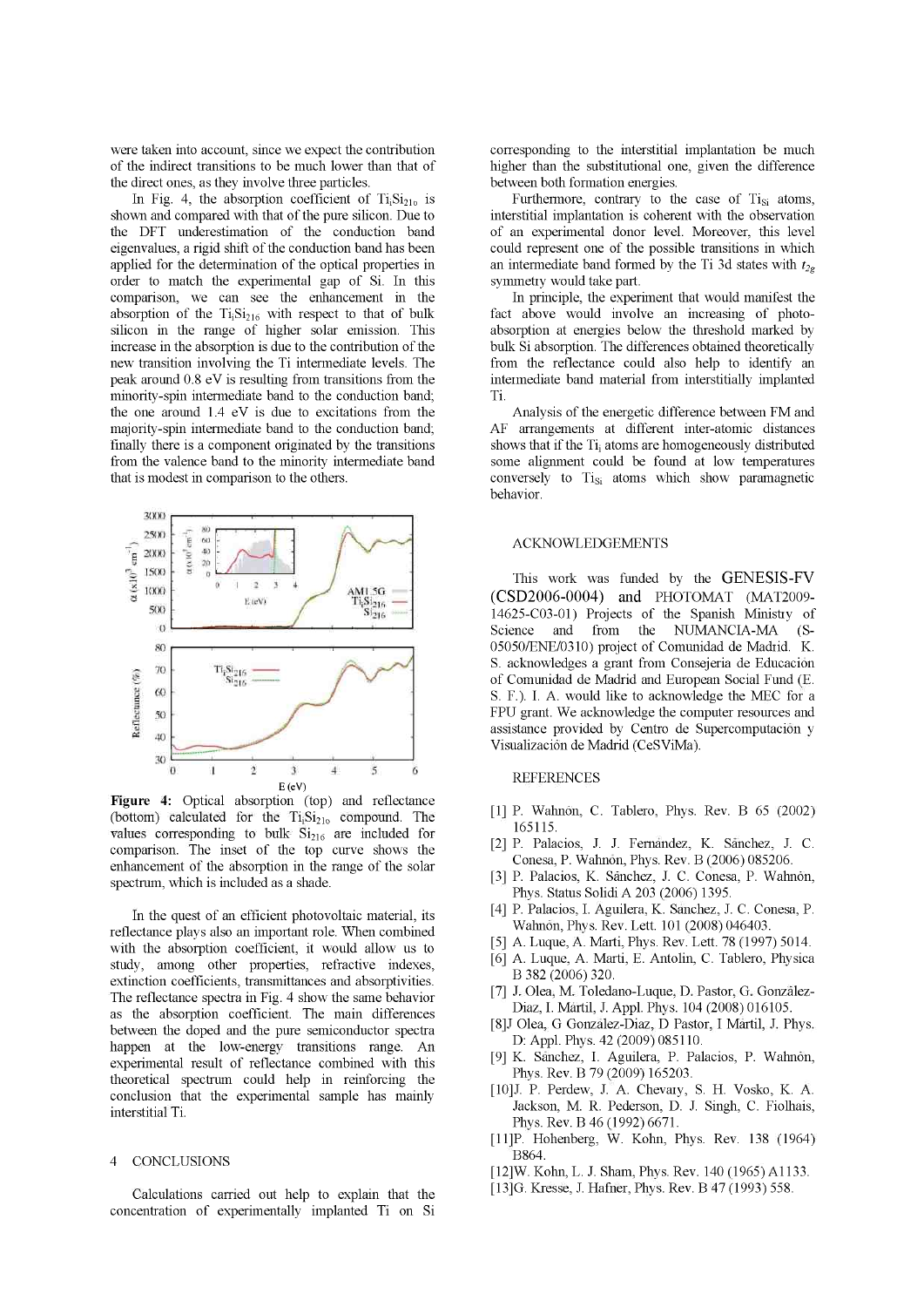were taken into account, since we expect the contribution of the indirect transitions to be much lower than that of the direct ones, as they involve three particles.

In Fig. 4, the absorption coefficient of  $Ti<sub>i</sub>Si<sub>210</sub>$  is shown and compared with that of the pure silicon. Due to the DFT underestimation of the conduction band eigenvalues, a rigid shift of the conduction band has been applied for the determination of the optical properties in order to match the experimental gap of Si. In this comparison, we can see the enhancement in the absorption of the  $Ti<sub>i</sub>Si<sub>216</sub>$  with respect to that of bulk silicon in the range of higher solar emission. This increase in the absorption is due to the contribution of the new transition involving the Ti intermediate levels. The peak around 0.8 eV is resulting from transitions from the minority-spin intermediate band to the conduction band; the one around 1.4 eV is due to excitations from the majority-spin intermediate band to the conduction band; finally there is a component originated by the transitions from the valence band to the minority intermediate band that is modest in comparison to the others.



**Figure 4:** Optical absorption (top) and reflectance (bottom) calculated for the  $Ti<sub>i</sub>Si<sub>210</sub>$  compound. The values corresponding to bulk  $\mathrm{Si}_{216}$  are included for comparison. The inset of the top curve shows the enhancement of the absorption in the range of the solar spectrum, which is included as a shade.

In the quest of an efficient photovoltaic material, its reflectance plays also an important role. When combined with the absorption coefficient, it would allow us to study, among other properties, refractive indexes, extinction coefficients, transmittances and absorptivities. The reflectance spectra in Fig. 4 show the same behavior as the absorption coefficient. The main differences between the doped and the pure semiconductor spectra happen at the low-energy transitions range. An experimental result of reflectance combined with this theoretical spectrum could help in reinforcing the conclusion that the experimental sample has mainly interstitial Ti.

## 4 CONCLUSIONS

Calculations carried out help to explain that the concentration of experimentally implanted Ti on Si corresponding to the interstitial implantation be much higher than the substitutional one, given the difference between both formation energies.

Furthermore, contrary to the case of  $Ti_{Si}$  atoms, interstitial implantation is coherent with the observation of an experimental donor level. Moreover, this level could represent one of the possible transitions in which an intermediate band formed by the Ti 3d states with  $t_{2g}$ symmetry would take part.

In principle, the experiment that would manifest the fact above would involve an increasing of photoabsorption at energies below the threshold marked by bulk Si absorption. The differences obtained theoretically from the reflectance could also help to identify an intermediate band material from interstitially implanted Ti.

Analysis of the energetic difference between FM and AF arrangements at different inter-atomic distances shows that if the Ti; atoms are homogeneously distributed some alignment could be found at low temperatures conversely to Tisi atoms which show paramagnetic behavior.

## ACKNOWLEDGEMENTS

This work was funded by the GENESIS-FV (CSD2006-0004) and PHOTOMAT (MAT2009- 14625-C03-01) Projects of the Spanish Ministry of Science and from the NUMANCIA-MA (S-05050/ENE/0310) project of Comunidad de Madrid. K. S. acknowledges a grant from Consejeria de Educación of Comunidad de Madrid and European Social Fund (E. S. F.). I. A. would like to acknowledge the MEC for a FPU grant. We acknowledge the computer resources and assistance provided by Centro de Supercomputación y Visualización de Madrid (CeSViMa).

# **REFERENCES**

- [1] P. Wahnon, C. Tablero, Phys. Rev. B 65 (2002) 165115.
- [2] P. Palacios, J. J. Fernandez, K. Sanchez, J. C. Conesa, P. Wahnon, Phys. Rev. B (2006) 085206.
- [3] P. Palacios, K. Sanchez, J. C. Conesa, P. Wahnon, Phys. Status Solidi A 203 (2006) 1395.
- [4] P. Palacios, I. Aguilera, K. Sanchez, J. C. Conesa, P. Wahnon, Phys. Rev. Lett. 101 (2008) 046403.
- [5] A. Luque, A. Marti, Phys. Rev. Lett. 78 (1997) 5014.
- [6] A. Luque, A. Marti, E. Antolin, C. Tablero, Physica B 382 (2006) 320.
- [7] J. Olea, M. Toledano-Luque, D. Pastor, G. Gonzalez-Diaz, I. Martil, J. Appl. Phys. 104 (2008) 016105.
- [8]J Olea, G Gonzalez-Diaz, D Pastor, I Martil, J. Phys. D: Appl. Phys. 42 (2009) 085110.
- [9] K. Sanchez, I. Aguilera, P. Palacios, P. Wahnon, Phys. Rev. B 79 (2009) 165203.
- [10]J. P. Perdew, J. A. Chevary, S. H. Vosko, K. A. Jackson, M. R. Pederson, D. J. Singh, C. Fiolhais, Phys. Rev. B 46 (1992) 6671.
- [11]P. Hohenberg, W. Kohn, Phys. Rev. 138 (1964) B864.
- [12]W. Kohn, L. J. Sham, Phys. Rev. 140 (1965) A1133.
- [13]G. Kresse, J. Hafner, Phys. Rev. B 47 (1993) 558.